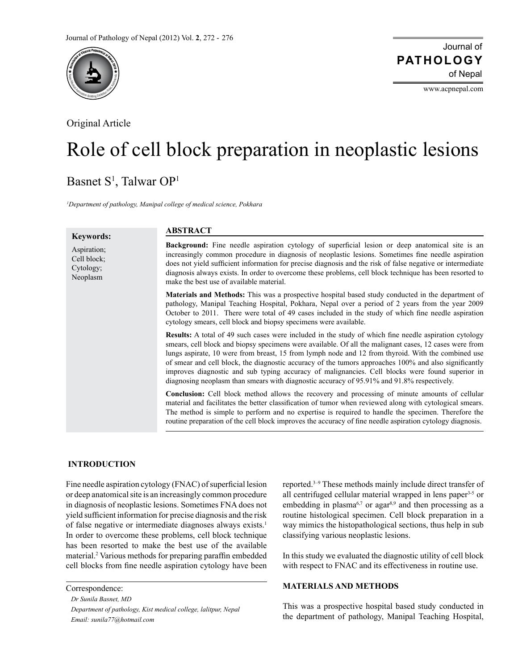

Original Article

www.acpnepal.com

# Role of cell block preparation in neoplastic lesions

## Basnet S<sup>1</sup>, Talwar OP<sup>1</sup>

*1 Department of pathology, Manipal college of medical science, Pokhara*

| <b>Keywords:</b>                                    | <b>ABSTRACT</b>                                                                                                                                                                                                                                                                                                                                                                                                                                                                                                                                                                                                                        |
|-----------------------------------------------------|----------------------------------------------------------------------------------------------------------------------------------------------------------------------------------------------------------------------------------------------------------------------------------------------------------------------------------------------------------------------------------------------------------------------------------------------------------------------------------------------------------------------------------------------------------------------------------------------------------------------------------------|
| Aspiration;<br>Cell block;<br>Cytology;<br>Neoplasm | Background: Fine needle aspiration cytology of superficial lesion or deep anatomical site is an<br>increasingly common procedure in diagnosis of neoplastic lesions. Sometimes fine needle aspiration<br>does not yield sufficient information for precise diagnosis and the risk of false negative or intermediate<br>diagnosis always exists. In order to overcome these problems, cell block technique has been resorted to<br>make the best use of available material.                                                                                                                                                             |
|                                                     | Materials and Methods: This was a prospective hospital based study conducted in the department of<br>pathology, Manipal Teaching Hospital, Pokhara, Nepal over a period of 2 years from the year 2009<br>October to 2011. There were total of 49 cases included in the study of which fine needle aspiration<br>cytology smears, cell block and biopsy specimens were available.                                                                                                                                                                                                                                                       |
|                                                     | <b>Results:</b> A total of 49 such cases were included in the study of which fine needle aspiration cytology<br>smears, cell block and biopsy specimens were available. Of all the malignant cases, 12 cases were from<br>lungs aspirate, 10 were from breast, 15 from lymph node and 12 from thyroid. With the combined use<br>of smear and cell block, the diagnostic accuracy of the tumors approaches 100% and also significantly<br>improves diagnostic and sub typing accuracy of malignancies. Cell blocks were found superior in<br>diagnosing neoplasm than smears with diagnostic accuracy of 95.91% and 91.8% respectively. |
|                                                     | <b>Conclusion:</b> Cell block method allows the recovery and processing of minute amounts of cellular<br>material and facilitates the better classification of tumor when reviewed along with cytological smears.<br>The method is simple to perform and no expertise is required to handle the specimen. Therefore the<br>routine preparation of the cell block improves the accuracy of fine needle aspiration cytology diagnosis.                                                                                                                                                                                                   |

#### **INTRODUCTION**

Fine needle aspiration cytology (FNAC) of superficial lesion or deep anatomical site is an increasingly common procedure in diagnosis of neoplastic lesions. Sometimes FNA does not yield sufficient information for precise diagnosis and the risk of false negative or intermediate diagnoses always exists.<sup>1</sup> In order to overcome these problems, cell block technique has been resorted to make the best use of the available material.2 Various methods for preparing paraffin embedded cell blocks from fine needle aspiration cytology have been

Correspondence:  *Dr Sunila Basnet, MD Department of pathology, Kist medical college, lalitpur, Nepal Email: sunila77@hotmail.com*

reported.3–9 These methods mainly include direct transfer of all centrifuged cellular material wrapped in lens paper<sup>3-5</sup> or embedding in plasma<sup>6,7</sup> or agar<sup>8,9</sup> and then processing as a routine histological specimen. Cell block preparation in a way mimics the histopathological sections, thus help in sub classifying various neoplastic lesions.

In this study we evaluated the diagnostic utility of cell block with respect to FNAC and its effectiveness in routine use.

### **MATERIALS AND METHODS**

This was a prospective hospital based study conducted in the department of pathology, Manipal Teaching Hospital,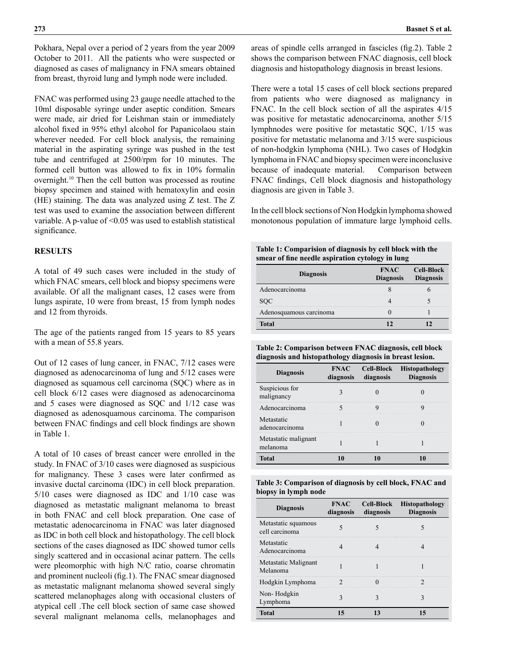Pokhara, Nepal over a period of 2 years from the year 2009 October to 2011. All the patients who were suspected or diagnosed as cases of malignancy in FNA smears obtained from breast, thyroid lung and lymph node were included.

FNAC was performed using 23 gauge needle attached to the 10ml disposable syringe under aseptic condition. Smears were made, air dried for Leishman stain or immediately alcohol fixed in 95% ethyl alcohol for Papanicolaou stain wherever needed. For cell block analysis, the remaining material in the aspirating syringe was pushed in the test tube and centrifuged at 2500/rpm for 10 minutes. The formed cell button was allowed to fix in 10% formalin overnight.10 Then the cell button was processed as routine biopsy specimen and stained with hematoxylin and eosin (HE) staining. The data was analyzed using Z test. The Z test was used to examine the association between different variable. A p-value of <0.05 was used to establish statistical significance.

### **RESULTS**

A total of 49 such cases were included in the study of which FNAC smears, cell block and biopsy specimens were available. Of all the malignant cases, 12 cases were from lungs aspirate, 10 were from breast, 15 from lymph nodes and 12 from thyroids.

The age of the patients ranged from 15 years to 85 years with a mean of 55.8 years.

Out of 12 cases of lung cancer, in FNAC, 7/12 cases were diagnosed as adenocarcinoma of lung and 5/12 cases were diagnosed as squamous cell carcinoma (SQC) where as in cell block 6/12 cases were diagnosed as adenocarcinoma and 5 cases were diagnosed as SQC and 1/12 case was diagnosed as adenosquamous carcinoma. The comparison between FNAC findings and cell block findings are shown in Table 1.

A total of 10 cases of breast cancer were enrolled in the study. In FNAC of 3/10 cases were diagnosed as suspicious for malignancy. These 3 cases were later confirmed as invasive ductal carcinoma (IDC) in cell block preparation. 5/10 cases were diagnosed as IDC and 1/10 case was diagnosed as metastatic malignant melanoma to breast in both FNAC and cell block preparation. One case of metastatic adenocarcinoma in FNAC was later diagnosed as IDC in both cell block and histopathology. The cell block sections of the cases diagnosed as IDC showed tumor cells singly scattered and in occasional acinar pattern. The cells were pleomorphic with high N/C ratio, coarse chromatin and prominent nucleoli (fig.1). The FNAC smear diagnosed as metastatic malignant melanoma showed several singly scattered melanophages along with occasional clusters of atypical cell .The cell block section of same case showed several malignant melanoma cells, melanophages and areas of spindle cells arranged in fascicles (fig.2). Table 2 shows the comparison between FNAC diagnosis, cell block diagnosis and histopathology diagnosis in breast lesions.

There were a total 15 cases of cell block sections prepared from patients who were diagnosed as malignancy in FNAC. In the cell block section of all the aspirates 4/15 was positive for metastatic adenocarcinoma, another 5/15 lymphnodes were positive for metastatic SQC, 1/15 was positive for metastatic melanoma and 3/15 were suspicious of non-hodgkin lymphoma (NHL). Two cases of Hodgkin lymphoma in FNAC and biopsy specimen were inconclusive because of inadequate material. Comparison between FNAC findings, Cell block diagnosis and histopathology diagnosis are given in Table 3.

In the cell block sections of Non Hodgkin lymphoma showed monotonous population of immature large lymphoid cells.

| Table 1: Comparision of diagnosis by cell block with the |
|----------------------------------------------------------|
| smear of fine needle aspiration cytology in lung         |

| <b>Diagnosis</b>        | <b>FNAC</b><br><b>Diagnosis</b> | <b>Cell-Block</b><br><b>Diagnosis</b> |
|-------------------------|---------------------------------|---------------------------------------|
| Adenocarcinoma          |                                 |                                       |
| SOC                     |                                 |                                       |
| Adenosquamous carcinoma |                                 |                                       |
| <b>Total</b>            |                                 |                                       |

**Table 2: Comparison between FNAC diagnosis, cell block diagnosis and histopathology diagnosis in breast lesion.** 

| <b>Diagnosis</b>                 | diagnosis diagnosis | FNAC Cell-Block Histopathology<br><b>Diagnosis</b> |
|----------------------------------|---------------------|----------------------------------------------------|
| Suspicious for<br>malignancy     |                     |                                                    |
| Adenocarcinoma                   |                     |                                                    |
| Metastatic<br>adenocarcinoma     |                     |                                                    |
| Metastatic malignant<br>melanoma |                     |                                                    |
| <b>Total</b>                     |                     |                                                    |

| Table 3: Comparison of diagnosis by cell block, FNAC and |  |  |
|----------------------------------------------------------|--|--|
| biopsy in lymph node                                     |  |  |

| <b>Diagnosis</b>                      | diagnosis diagnosis | FNAC Cell-Block Histopathology<br><b>Diagnosis</b> |
|---------------------------------------|---------------------|----------------------------------------------------|
| Metastatic squamous<br>cell carcinoma |                     |                                                    |
| Metastatic<br>Adenocarcinoma          |                     |                                                    |
| Metastatic Malignant<br>Melanoma      |                     |                                                    |
| Hodgkin Lymphoma                      |                     |                                                    |
| Non-Hodgkin<br>Lymphoma               |                     |                                                    |
| <b>Total</b>                          |                     |                                                    |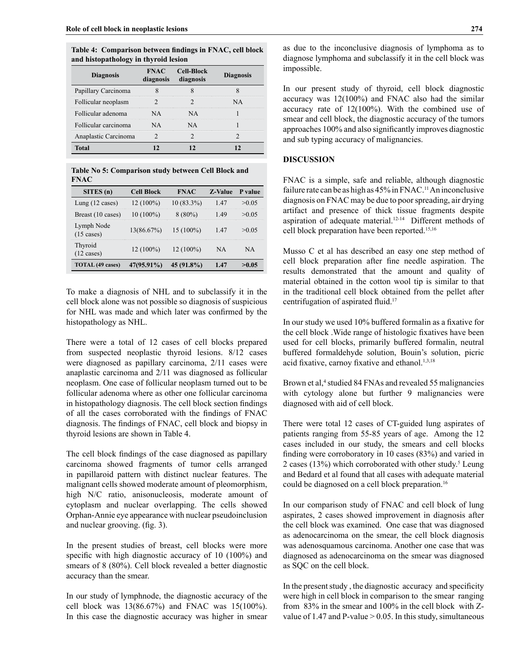**Table 4: Comparison between findings in FNAC, cell block and histopathology in thyroid lesion**

| <b>Diagnosis</b>     | diagnosis | <b>FNAC</b> Cell-Block<br>diagnosis | <b>Diagnosis</b> |
|----------------------|-----------|-------------------------------------|------------------|
| Papillary Carcinoma  |           |                                     |                  |
| Follicular neoplasm  |           |                                     |                  |
| Follicular adenoma   |           |                                     |                  |
| Follicular carcinoma |           |                                     |                  |
| Anaplastic Carcinoma |           |                                     |                  |
| Total                |           |                                     |                  |

**Table No 5: Comparison study between Cell Block and FNAC**

| SITES(n)                           | <b>Cell Block</b> | <b>FNAC</b>  | <b>Z-Value</b> | P value |
|------------------------------------|-------------------|--------------|----------------|---------|
| Lung $(12 \text{ cases})$          | $12(100\%)$       | $10(83.3\%)$ | 147            | >0.05   |
| Breast (10 cases)                  | $10(100\%)$       | $8(80\%)$    | 149            | >0.05   |
| Lymph Node<br>$(15 \text{ cases})$ | 13(86.67%)        | $15(100\%)$  | 147            | >0.05   |
| Thyroid<br>12 cases)               | $12(100\%)$       | $12(100\%)$  | ΝA             | ΝA      |
| TOTAL (49 cases)                   | 47(95.91%)        | 45 (91.8%)   | 1 47           |         |

To make a diagnosis of NHL and to subclassify it in the cell block alone was not possible so diagnosis of suspicious for NHL was made and which later was confirmed by the histopathology as NHL.

There were a total of 12 cases of cell blocks prepared from suspected neoplastic thyroid lesions. 8/12 cases were diagnosed as papillary carcinoma, 2/11 cases were anaplastic carcinoma and 2/11 was diagnosed as follicular neoplasm. One case of follicular neoplasm turned out to be follicular adenoma where as other one follicular carcinoma in histopathology diagnosis. The cell block section findings of all the cases corroborated with the findings of FNAC diagnosis. The findings of FNAC, cell block and biopsy in thyroid lesions are shown in Table 4.

The cell block findings of the case diagnosed as papillary carcinoma showed fragments of tumor cells arranged in papillaroid pattern with distinct nuclear features. The malignant cells showed moderate amount of pleomorphism, high N/C ratio, anisonucleosis, moderate amount of cytoplasm and nuclear overlapping. The cells showed Orphan-Annie eye appearance with nuclear pseudoinclusion and nuclear grooving. (fig. 3).

In the present studies of breast, cell blocks were more specific with high diagnostic accuracy of 10 (100%) and smears of 8 (80%). Cell block revealed a better diagnostic accuracy than the smear.

In our study of lymphnode, the diagnostic accuracy of the cell block was 13(86.67%) and FNAC was 15(100%). In this case the diagnostic accuracy was higher in smear as due to the inconclusive diagnosis of lymphoma as to diagnose lymphoma and subclassify it in the cell block was impossible.

In our present study of thyroid, cell block diagnostic accuracy was 12(100%) and FNAC also had the similar accuracy rate of 12(100%). With the combined use of smear and cell block, the diagnostic accuracy of the tumors approaches 100% and also significantly improves diagnostic and sub typing accuracy of malignancies.

### **DISCUSSION**

FNAC is a simple, safe and reliable, although diagnostic failure rate can be as high as 45% in FNAC.<sup>11</sup> An inconclusive diagnosis on FNAC may be due to poor spreading, air drying artifact and presence of thick tissue fragments despite aspiration of adequate material.<sup>12-14</sup> Different methods of cell block preparation have been reported.15,16

Musso C et al has described an easy one step method of cell block preparation after fine needle aspiration. The results demonstrated that the amount and quality of material obtained in the cotton wool tip is similar to that in the traditional cell block obtained from the pellet after centrifugation of aspirated fluid.<sup>17</sup>

In our study we used 10% buffered formalin as a fixative for the cell block .Wide range of histologic fixatives have been used for cell blocks, primarily buffered formalin, neutral buffered formaldehyde solution, Bouin's solution, picric acid fixative, carnoy fixative and ethanol.<sup>1,3,18</sup>

Brown et al,<sup>4</sup> studied 84 FNAs and revealed 55 malignancies with cytology alone but further 9 malignancies were diagnosed with aid of cell block.

There were total 12 cases of CT-guided lung aspirates of patients ranging from 55-85 years of age. Among the 12 cases included in our study, the smears and cell blocks finding were corroboratory in 10 cases (83%) and varied in 2 cases  $(13%)$  which corroborated with other study.<sup>5</sup> Leung and Bedard et al found that all cases with adequate material could be diagnosed on a cell block preparation.<sup>16</sup>

In our comparison study of FNAC and cell block of lung aspirates, 2 cases showed improvement in diagnosis after the cell block was examined. One case that was diagnosed as adenocarcinoma on the smear, the cell block diagnosis was adenosquamous carcinoma. Another one case that was diagnosed as adenocarcinoma on the smear was diagnosed as SQC on the cell block.

In the present study , the diagnostic accuracy and specificity were high in cell block in comparison to the smear ranging from 83% in the smear and 100% in the cell block with Zvalue of 1.47 and P-value  $> 0.05$ . In this study, simultaneous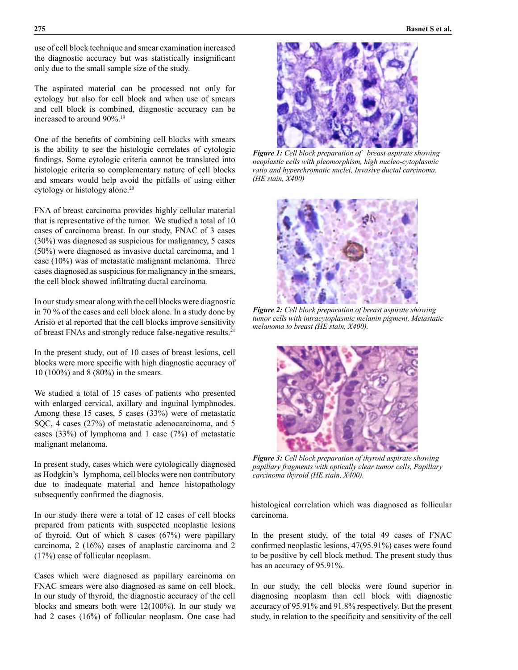use of cell block technique and smear examination increased the diagnostic accuracy but was statistically insignificant only due to the small sample size of the study.

The aspirated material can be processed not only for cytology but also for cell block and when use of smears and cell block is combined, diagnostic accuracy can be increased to around 90%.19

One of the benefits of combining cell blocks with smears is the ability to see the histologic correlates of cytologic findings. Some cytologic criteria cannot be translated into histologic criteria so complementary nature of cell blocks and smears would help avoid the pitfalls of using either cytology or histology alone.<sup>20</sup>

FNA of breast carcinoma provides highly cellular material that is representative of the tumor. We studied a total of 10 cases of carcinoma breast. In our study, FNAC of 3 cases (30%) was diagnosed as suspicious for malignancy, 5 cases (50%) were diagnosed as invasive ductal carcinoma, and 1 case (10%) was of metastatic malignant melanoma. Three cases diagnosed as suspicious for malignancy in the smears, the cell block showed infiltrating ductal carcinoma.

In our study smear along with the cell blocks were diagnostic in 70 % of the cases and cell block alone. In a study done by Arisio et al reported that the cell blocks improve sensitivity of breast FNAs and strongly reduce false-negative results.21

In the present study, out of 10 cases of breast lesions, cell blocks were more specific with high diagnostic accuracy of 10 (100%) and 8 (80%) in the smears.

We studied a total of 15 cases of patients who presented with enlarged cervical, axillary and inguinal lymphnodes. Among these 15 cases, 5 cases (33%) were of metastatic SQC, 4 cases (27%) of metastatic adenocarcinoma, and 5 cases (33%) of lymphoma and 1 case (7%) of metastatic malignant melanoma.

In present study, cases which were cytologically diagnosed as Hodgkin's lymphoma, cell blocks were non contributory due to inadequate material and hence histopathology subsequently confirmed the diagnosis.

In our study there were a total of 12 cases of cell blocks prepared from patients with suspected neoplastic lesions of thyroid. Out of which 8 cases (67%) were papillary carcinoma, 2 (16%) cases of anaplastic carcinoma and 2 (17%) case of follicular neoplasm.

Cases which were diagnosed as papillary carcinoma on FNAC smears were also diagnosed as same on cell block. In our study of thyroid, the diagnostic accuracy of the cell blocks and smears both were 12(100%). In our study we had 2 cases (16%) of follicular neoplasm. One case had



*Figure 1: Cell block preparation of breast aspirate showing neoplastic cells with pleomorphism, high nucleo-cytoplasmic ratio and hyperchromatic nuclei, Invasive ductal carcinoma. (HE stain, X400)* 



*Figure 2: Cell block preparation of breast aspirate showing tumor cells with intracytoplasmic melanin pigment, Metastatic melanoma to breast (HE stain, X400).*



*Figure 3: Cell block preparation of thyroid aspirate showing papillary fragments with optically clear tumor cells, Papillary carcinoma thyroid (HE stain, X400).*

histological correlation which was diagnosed as follicular carcinoma.

In the present study, of the total 49 cases of FNAC confirmed neoplastic lesions, 47(95.91%) cases were found to be positive by cell block method. The present study thus has an accuracy of 95.91%.

In our study, the cell blocks were found superior in diagnosing neoplasm than cell block with diagnostic accuracy of 95.91% and 91.8% respectively. But the present study, in relation to the specificity and sensitivity of the cell